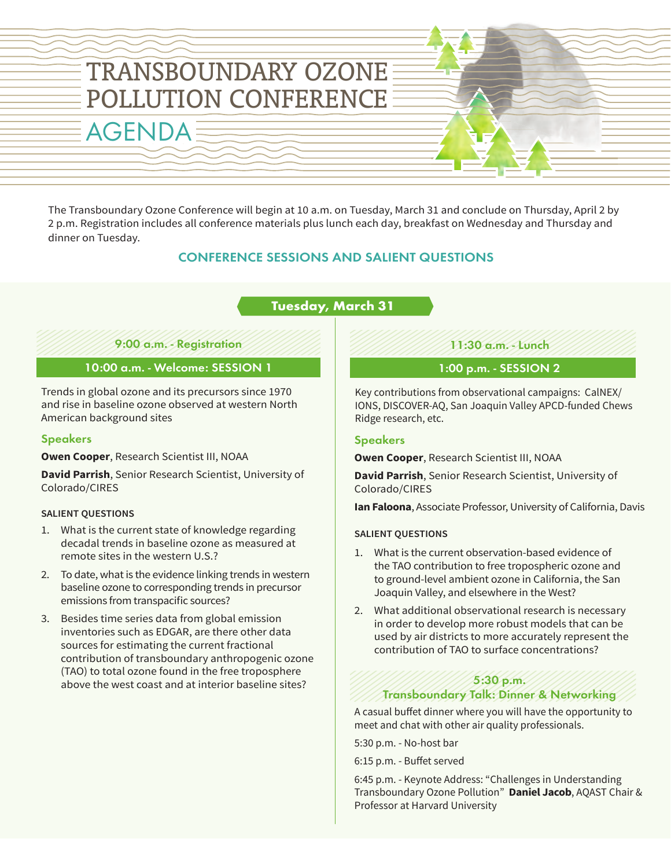

The Transboundary Ozone Conference will begin at 10 a.m. on Tuesday, March 31 and conclude on Thursday, April 2 by 2 p.m. Registration includes all conference materials plus lunch each day, breakfast on Wednesday and Thursday and dinner on Tuesday.

# CONFERENCE SESSIONS AND SALIENT QUESTIONS

# **Tuesday, March 31**

### 9:00 a.m. - Registration

### 10:00 a.m. - Welcome: SESSION 1

Trends in global ozone and its precursors since 1970 and rise in baseline ozone observed at western North American background sites

### Speakers

**Owen Cooper**, Research Scientist III, NOAA

**David Parrish**, Senior Research Scientist, University of Colorado/CIRES

### **SALIENT QUESTIONS**

- 1. What is the current state of knowledge regarding decadal trends in baseline ozone as measured at remote sites in the western U.S.?
- 2. To date, what is the evidence linking trends in western baseline ozone to corresponding trends in precursor emissions from transpacific sources?
- 3. Besides time series data from global emission inventories such as EDGAR, are there other data sources for estimating the current fractional contribution of transboundary anthropogenic ozone (TAO) to total ozone found in the free troposphere above the west coast and at interior baseline sites?

11:30 a.m. - Lunch

## 1:00 p.m. - SESSION 2

Key contributions from observational campaigns: CalNEX/ IONS, DISCOVER-AQ, San Joaquin Valley APCD-funded Chews Ridge research, etc.

### Speakers

**Owen Cooper**, Research Scientist III, NOAA

**David Parrish**, Senior Research Scientist, University of Colorado/CIRES

**Ian Faloona**, Associate Professor, University of California, Davis

#### **SALIENT QUESTIONS**

- 1. What is the current observation-based evidence of the TAO contribution to free tropospheric ozone and to ground-level ambient ozone in California, the San Joaquin Valley, and elsewhere in the West?
- 2. What additional observational research is necessary in order to develop more robust models that can be used by air districts to more accurately represent the contribution of TAO to surface concentrations?

### 5:30 p.m.

### Transboundary Talk: Dinner & Networking

A casual buffet dinner where you will have the opportunity to meet and chat with other air quality professionals.

5:30 p.m. - No-host bar

6:15 p.m. - Buffet served

6:45 p.m. - Keynote Address: "Challenges in Understanding Transboundary Ozone Pollution" **Daniel Jacob**, AQAST Chair & Professor at Harvard University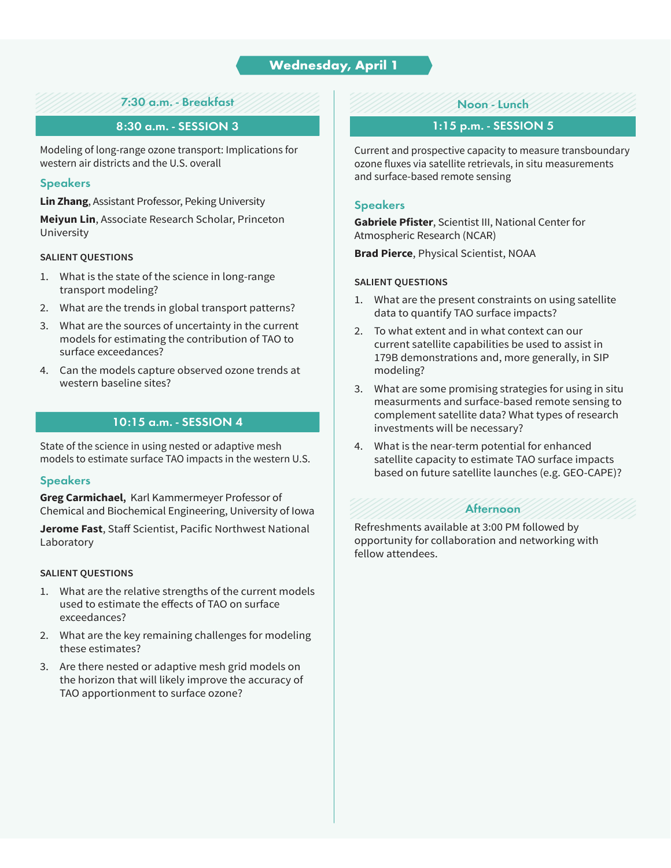# **Wednesday, April 1**

## 7:30 a.m. - Breakfast

### 8:30 a.m. - SESSION 3

Modeling of long-range ozone transport: Implications for western air districts and the U.S. overall

#### **Speakers**

**Lin Zhang**, Assistant Professor, Peking University

**Meiyun Lin**, Associate Research Scholar, Princeton University

#### **SALIENT QUESTIONS**

- 1. What is the state of the science in long-range transport modeling?
- 2. What are the trends in global transport patterns?
- 3. What are the sources of uncertainty in the current models for estimating the contribution of TAO to surface exceedances?
- 4. Can the models capture observed ozone trends at western baseline sites?

### 10:15 a.m. - SESSION 4

State of the science in using nested or adaptive mesh models to estimate surface TAO impacts in the western U.S.

#### **Speakers**

**Greg Carmichael,** Karl Kammermeyer Professor of Chemical and Biochemical Engineering, University of Iowa

**Jerome Fast**, Staff Scientist, Pacific Northwest National Laboratory

#### **SALIENT QUESTIONS**

- 1. What are the relative strengths of the current models used to estimate the effects of TAO on surface exceedances?
- 2. What are the key remaining challenges for modeling these estimates?
- 3. Are there nested or adaptive mesh grid models on the horizon that will likely improve the accuracy of TAO apportionment to surface ozone?

### Noon - Lunch

### 1:15 p.m. - SESSION 5

Current and prospective capacity to measure transboundary ozone fluxes via satellite retrievals, in situ measurements and surface-based remote sensing

#### **Speakers**

**Gabriele Pfister**, Scientist III, National Center for Atmospheric Research (NCAR)

**Brad Pierce**, Physical Scientist, NOAA

#### **SALIENT QUESTIONS**

- 1. What are the present constraints on using satellite data to quantify TAO surface impacts?
- 2. To what extent and in what context can our current satellite capabilities be used to assist in 179B demonstrations and, more generally, in SIP modeling?
- 3. What are some promising strategies for using in situ measurments and surface-based remote sensing to complement satellite data? What types of research investments will be necessary?
- 4. What is the near-term potential for enhanced satellite capacity to estimate TAO surface impacts based on future satellite launches (e.g. GEO-CAPE)?

### Afternoon

Refreshments available at 3:00 PM followed by opportunity for collaboration and networking with fellow attendees.